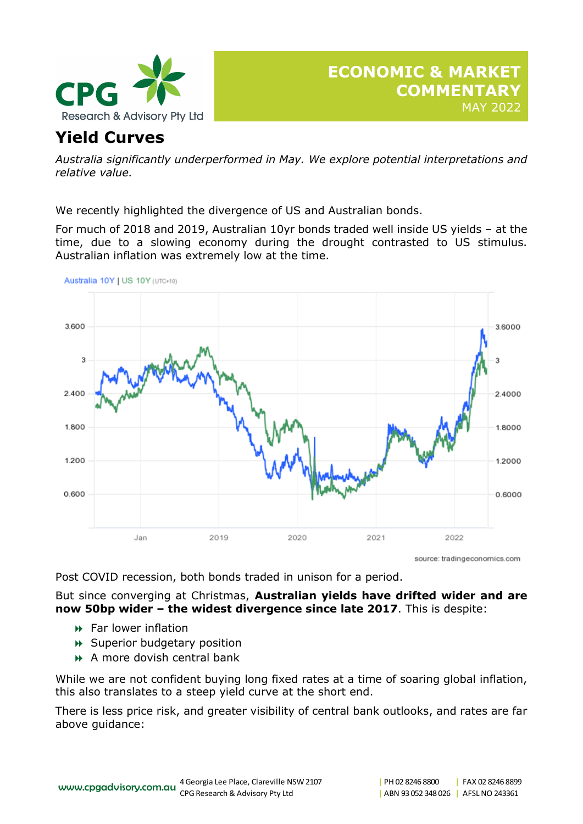

# **Yield Curves**

*Australia significantly underperformed in May. We explore potential interpretations and relative value.* 

We recently highlighted the divergence of US and Australian bonds.

For much of 2018 and 2019, Australian 10yr bonds traded well inside US yields – at the time, due to a slowing economy during the drought contrasted to US stimulus. Australian inflation was extremely low at the time.



source: tradingeconomics.com

Post COVID recession, both bonds traded in unison for a period.

But since converging at Christmas, **Australian yields have drifted wider and are now 50bp wider – the widest divergence since late 2017**. This is despite:

- **Far lower inflation**
- Superior budgetary position
- A more dovish central bank

While we are not confident buying long fixed rates at a time of soaring global inflation, this also translates to a steep yield curve at the short end.

There is less price risk, and greater visibility of central bank outlooks, and rates are far above guidance: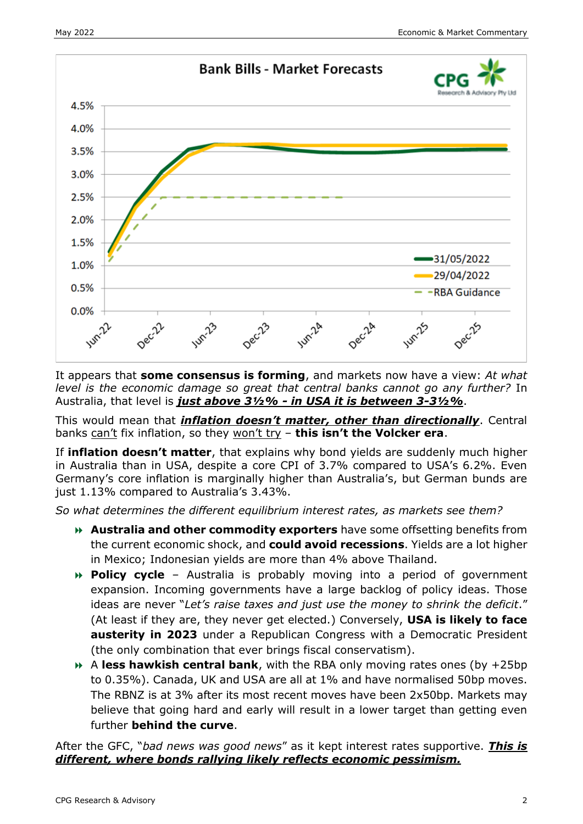

It appears that **some consensus is forming**, and markets now have a view: *At what level is the economic damage so great that central banks cannot go any further?* In Australia, that level is *just above 3½% - in USA it is between 3-3½%*.

This would mean that *inflation doesn't matter, other than directionally*. Central banks can't fix inflation, so they won't try – **this isn't the Volcker era**.

If **inflation doesn't matter**, that explains why bond yields are suddenly much higher in Australia than in USA, despite a core CPI of 3.7% compared to USA's 6.2%. Even Germany's core inflation is marginally higher than Australia's, but German bunds are just 1.13% compared to Australia's 3.43%.

*So what determines the different equilibrium interest rates, as markets see them?* 

- **Australia and other commodity exporters** have some offsetting benefits from the current economic shock, and **could avoid recessions**. Yields are a lot higher in Mexico; Indonesian yields are more than 4% above Thailand.
- **Policy cycle** Australia is probably moving into a period of government expansion. Incoming governments have a large backlog of policy ideas. Those ideas are never "*Let's raise taxes and just use the money to shrink the deficit*." (At least if they are, they never get elected.) Conversely, **USA is likely to face austerity in 2023** under a Republican Congress with a Democratic President (the only combination that ever brings fiscal conservatism).
- A **less hawkish central bank**, with the RBA only moving rates ones (by +25bp to 0.35%). Canada, UK and USA are all at 1% and have normalised 50bp moves. The RBNZ is at 3% after its most recent moves have been 2x50bp. Markets may believe that going hard and early will result in a lower target than getting even further **behind the curve**.

After the GFC, "*bad news was good news*" as it kept interest rates supportive. *This is different, where bonds rallying likely reflects economic pessimism.*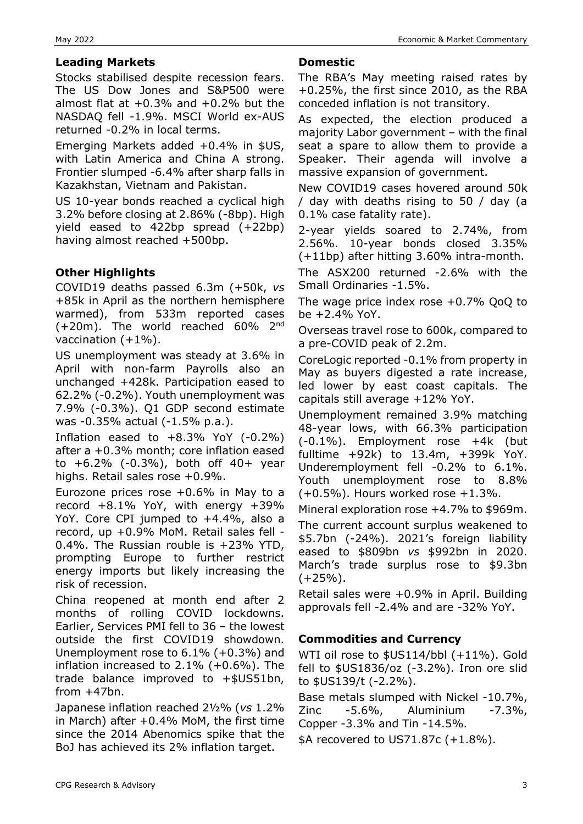# **Leading Markets**

Stocks stabilised despite recession fears. The US Dow Jones and S&P500 were almost flat at  $+0.3\%$  and  $+0.2\%$  but the NASDAQ fell -1.9%. MSCI World ex-AUS returned -0.2% in local terms.

Emerging Markets added +0.4% in \$US, with Latin America and China A strong. Frontier slumped -6.4% after sharp falls in Kazakhstan, Vietnam and Pakistan.

US 10-year bonds reached a cyclical high 3.2% before closing at 2.86% (-8bp). High yield eased to 422bp spread (+22bp) having almost reached +500bp.

# **Other Highlights**

COVID19 deaths passed 6.3m (+50k, *vs* +85k in April as the northern hemisphere warmed), from 533m reported cases  $(+20m)$ . The world reached 60% 2<sup>nd</sup> vaccination  $(+1%)$ .

US unemployment was steady at 3.6% in April with non-farm Payrolls also an unchanged +428k. Participation eased to 62.2% (-0.2%). Youth unemployment was 7.9% (-0.3%). Q1 GDP second estimate was -0.35% actual (-1.5% p.a.).

Inflation eased to  $+8.3\%$  YoY (-0.2%) after a +0.3% month; core inflation eased to +6.2% (-0.3%), both off 40+ year highs. Retail sales rose +0.9%.

Eurozone prices rose +0.6% in May to a record +8.1% YoY, with energy +39% YoY. Core CPI jumped to +4.4%, also a record, up +0.9% MoM. Retail sales fell - 0.4%. The Russian rouble is +23% YTD, prompting Europe to further restrict energy imports but likely increasing the risk of recession.

China reopened at month end after 2 months of rolling COVID lockdowns. Earlier, Services PMI fell to 36 – the lowest outside the first COVID19 showdown. Unemployment rose to 6.1% (+0.3%) and inflation increased to 2.1% (+0.6%). The trade balance improved to +\$US51bn, from  $+47$ bn.

Japanese inflation reached 2½% (*vs* 1.2% in March) after  $+0.4\%$  MoM, the first time since the 2014 Abenomics spike that the BoJ has achieved its 2% inflation target.

### **Domestic**

The RBA's May meeting raised rates by +0.25%, the first since 2010, as the RBA conceded inflation is not transitory.

As expected, the election produced a majority Labor government – with the final seat a spare to allow them to provide a Speaker. Their agenda will involve a massive expansion of government.

New COVID19 cases hovered around 50k / day with deaths rising to 50 / day (a 0.1% case fatality rate).

2-year yields soared to 2.74%, from 2.56%. 10-year bonds closed 3.35% (+11bp) after hitting 3.60% intra-month.

The ASX200 returned -2.6% with the Small Ordinaries -1.5%.

The wage price index rose +0.7% QoQ to be +2.4% YoY.

Overseas travel rose to 600k, compared to a pre-COVID peak of 2.2m.

CoreLogic reported -0.1% from property in May as buyers digested a rate increase, led lower by east coast capitals. The capitals still average +12% YoY.

Unemployment remained 3.9% matching 48-year lows, with 66.3% participation (-0.1%). Employment rose +4k (but fulltime +92k) to 13.4m, +399k YoY. Underemployment fell -0.2% to 6.1%. Youth unemployment rose to 8.8%  $(+0.5\%)$ . Hours worked rose  $+1.3\%$ .

Mineral exploration rose +4.7% to \$969m.

The current account surplus weakened to \$5.7bn (-24%). 2021's foreign liability eased to \$809bn *vs* \$992bn in 2020. March's trade surplus rose to \$9.3bn  $(+25%)$ .

Retail sales were +0.9% in April. Building approvals fell -2.4% and are -32% YoY.

# **Commodities and Currency**

WTI oil rose to \$US114/bbl (+11%). Gold fell to \$US1836/oz (-3.2%). Iron ore slid to \$US139/t (-2.2%).

Base metals slumped with Nickel -10.7%, Zinc -5.6%, Aluminium -7.3%, Copper -3.3% and Tin -14.5%.

\$A recovered to US71.87c (+1.8%).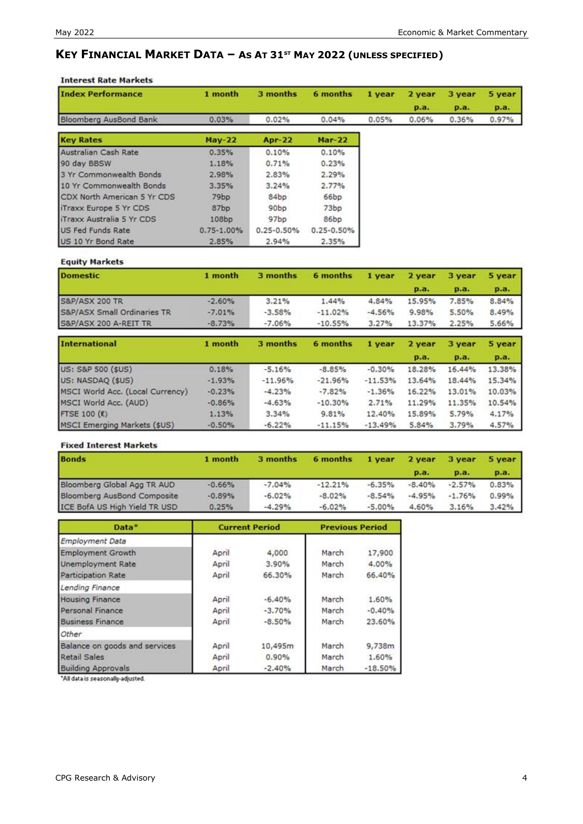# **KEY FINANCIAL MARKET DATA – AS AT 31ST MAY 2022 (UNLESS SPECIFIED)**

### **Interest Rate Markets**

| <b>Index Performance</b>      | 1 month        | 3 months       | 6 months       | 1 year | 2 year | 3 year | 5 year |
|-------------------------------|----------------|----------------|----------------|--------|--------|--------|--------|
|                               |                |                |                |        | p.a.   | p.a.   | p.a.   |
| Bloomberg AusBond Bank        | 0.03%          | 0.02%          | 0.04%          | 0.05%  | 0.06%  | 0.36%  | 0.97%  |
| <b>Key Rates</b>              | $May-22$       | <b>Apr-22</b>  | <b>Mar-22</b>  |        |        |        |        |
| Australian Cash Rate          | 0.35%          | 0.10%          | 0.10%          |        |        |        |        |
| 90 day BBSW                   | 1.18%          | 0.71%          | 0.23%          |        |        |        |        |
| 3 Yr Commonwealth Bonds       | 2.98%          | 2.83%          | 2.29%          |        |        |        |        |
| 10 Yr Commonwealth Bonds      | 3.35%          | 3.24%          | 2.77%          |        |        |        |        |
| CDX North American 5 Yr CDS   | 79bp           | 84bp           | 66bp           |        |        |        |        |
| <b>iTraxx Europe 5 Yr CDS</b> | 87bp           | 90bp           | 73bp           |        |        |        |        |
| iTraxx Australia 5 Yr CDS     | 108bp          | 97bp           | 86bp           |        |        |        |        |
| <b>US Fed Funds Rate</b>      | $0.75 - 1.00%$ | $0.25 - 0.50%$ | $0.25 - 0.50%$ |        |        |        |        |
| US 10 Yr Bond Rate            | 2.85%          | 2.94%          | 2.35%          |        |        |        |        |

### **Equity Markets**

| <b>Domestic</b>             | 1 month  | 3 months | 6 months  | 1 year   | 2 year      | 3 year      | 5 year      |
|-----------------------------|----------|----------|-----------|----------|-------------|-------------|-------------|
|                             |          |          |           |          | <b>p.a.</b> | <b>p.a.</b> | <b>p.a.</b> |
| <b>S&amp;P/ASX 200 TR</b>   | $-2.60%$ | 3.21%    | 1.44%     | 4.84%    | 15.95%      | 7.85%       | 8.84%       |
| S&P/ASX Small Ordinaries TR | $-7.01%$ | $-3.58%$ | $-11.02%$ | $-4.56%$ | 9.98%       | 5.50%       | 8.49%       |
| S&P/ASX 200 A-REIT TR       | $-8.73%$ | $-7.06%$ | $-10.55%$ | 3.27%    | 13.37%      | 2.25%       | 5.66%       |

| <b>International</b>             | 1 month  | 3 months  | 6 months  | 1 year    | 2 year | 3 year | 5 year |
|----------------------------------|----------|-----------|-----------|-----------|--------|--------|--------|
|                                  |          |           |           |           | p.a.   | p.a.   | p.a.   |
| US: S&P 500 (\$US)               | 0.18%    | $-5.16%$  | $-8.85%$  | $-0.30%$  | 18.28% | 16.44% | 13.38% |
| US: NASDAQ (\$US)                | $-1.93%$ | $-11.96%$ | $-21.96%$ | $-11.53%$ | 13.64% | 18.44% | 15.34% |
| MSCI World Acc. (Local Currency) | $-0.23%$ | $-4.23%$  | $-7.82%$  | $-1.36%$  | 16.22% | 13.01% | 10.03% |
| MSCI World Acc. (AUD)            | $-0.86%$ | $-4.63%$  | $-10.30%$ | 2.71%     | 11.29% | 11.35% | 10.54% |
| <b>FTSE 100 (£)</b>              | 1.13%    | 3.34%     | 9.81%     | 12.40%    | 15.89% | 5.79%  | 4.17%  |
| MSCI Emerging Markets (\$US)     | $-0.50%$ | $-6.22%$  | $-11.15%$ | $-13.49%$ | 5.84%  | 3.79%  | 4.57%  |

### **Fixed Interest Markets**

| <b>Bonds</b>                  | 1 month  | 3 months | 6 months  | 1 year   | 2 year      | 3 year   | 5 year |
|-------------------------------|----------|----------|-----------|----------|-------------|----------|--------|
|                               |          |          |           |          | <b>p.a.</b> | $p.a.$   | p.a.   |
| Bloomberg Global Agg TR AUD   | $-0.66%$ | $-7.04%$ | $-12.21%$ | $-6.35%$ | $-8.40%$    | $-2.57%$ | 0.83%  |
| Bloomberg AusBond Composite   | $-0.89%$ | $-6.02%$ | $-8.02%$  | $-8.54%$ | $-4.95%$    | $-1.76%$ | 0.99%  |
| ICE BofA US High Yield TR USD | 0.25%    | $-4.29%$ | $-6.02%$  | $-5.00%$ | 4.60%       | 3.16%    | 3.42%  |

| Data*                         |       | <b>Current Period</b> |       | <b>Previous Period</b> |  |  |
|-------------------------------|-------|-----------------------|-------|------------------------|--|--|
| Employment Data               |       |                       |       |                        |  |  |
| <b>Employment Growth</b>      | April | 4,000                 | March | 17,900                 |  |  |
| <b>Unemployment Rate</b>      | April | 3.90%                 | March | 4.00%                  |  |  |
| Participation Rate            | April | 66.30%                | March | 66.40%                 |  |  |
| Lending Finance               |       |                       |       |                        |  |  |
| <b>Housing Finance</b>        | April | $-6.40%$              | March | 1.60%                  |  |  |
| Personal Finance              | April | $-3.70%$              | March | $-0.40%$               |  |  |
| <b>Business Finance</b>       | April | $-8.50%$              | March | 23.60%                 |  |  |
| Other                         |       |                       |       |                        |  |  |
| Balance on goods and services | April | 10,495m               | March | 9,738m                 |  |  |
| Retail Sales                  | April | 0.90%                 | March | 1.60%                  |  |  |
| <b>Building Approvals</b>     | April | $-2.40%$              | March | $-18.50%$              |  |  |

"All data is seasonally-adjusted.